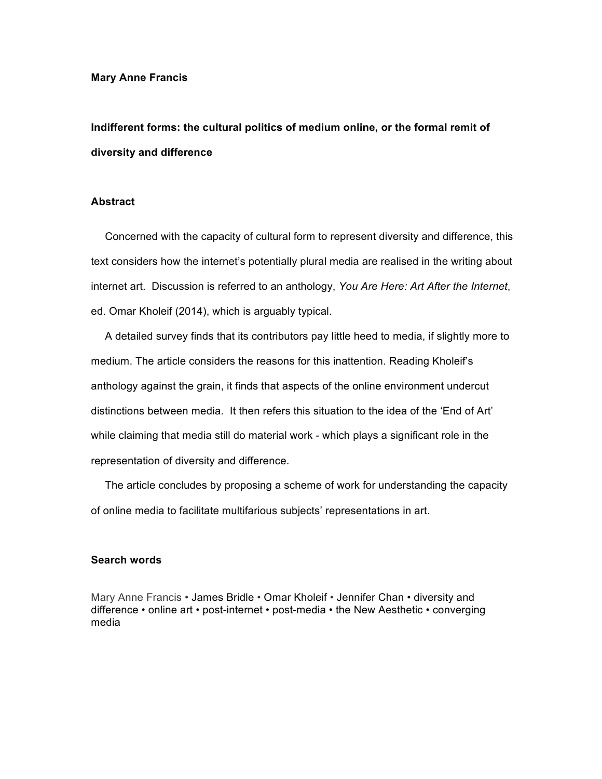#### **Mary Anne Francis**

# **Indifferent forms: the cultural politics of medium online, or the formal remit of diversity and difference**

# **Abstract**

Concerned with the capacity of cultural form to represent diversity and difference, this text considers how the internet's potentially plural media are realised in the writing about internet art. Discussion is referred to an anthology, *You Are Here: Art After the Internet*, ed. Omar Kholeif (2014), which is arguably typical.

A detailed survey finds that its contributors pay little heed to media, if slightly more to medium. The article considers the reasons for this inattention. Reading Kholeif's anthology against the grain, it finds that aspects of the online environment undercut distinctions between media. It then refers this situation to the idea of the 'End of Art' while claiming that media still do material work - which plays a significant role in the representation of diversity and difference.

The article concludes by proposing a scheme of work for understanding the capacity of online media to facilitate multifarious subjects' representations in art.

## **Search words**

Mary Anne Francis • James Bridle • Omar Kholeif • Jennifer Chan • diversity and difference • online art • post-internet • post-media • the New Aesthetic • converging media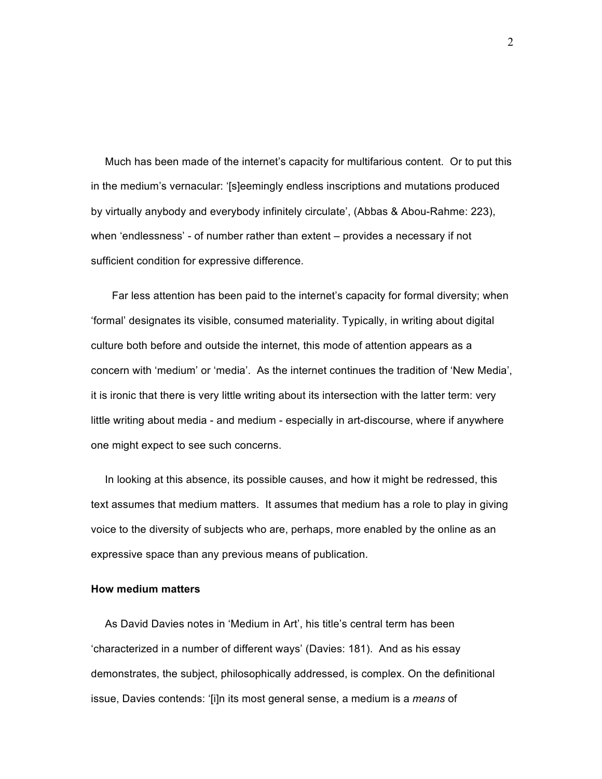Much has been made of the internet's capacity for multifarious content. Or to put this in the medium's vernacular: '[s]eemingly endless inscriptions and mutations produced by virtually anybody and everybody infinitely circulate', (Abbas & Abou-Rahme: 223), when 'endlessness' - of number rather than extent – provides a necessary if not sufficient condition for expressive difference.

Far less attention has been paid to the internet's capacity for formal diversity; when 'formal' designates its visible, consumed materiality. Typically, in writing about digital culture both before and outside the internet, this mode of attention appears as a concern with 'medium' or 'media'. As the internet continues the tradition of 'New Media', it is ironic that there is very little writing about its intersection with the latter term: very little writing about media - and medium - especially in art-discourse, where if anywhere one might expect to see such concerns.

In looking at this absence, its possible causes, and how it might be redressed, this text assumes that medium matters. It assumes that medium has a role to play in giving voice to the diversity of subjects who are, perhaps, more enabled by the online as an expressive space than any previous means of publication.

## **How medium matters**

As David Davies notes in 'Medium in Art', his title's central term has been 'characterized in a number of different ways' (Davies: 181). And as his essay demonstrates, the subject, philosophically addressed, is complex. On the definitional issue, Davies contends: '[i]n its most general sense, a medium is a *means* of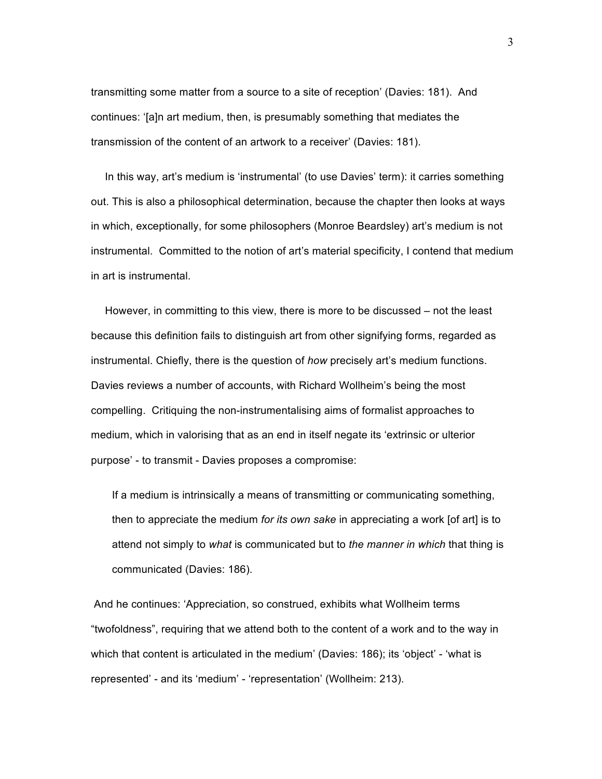transmitting some matter from a source to a site of reception' (Davies: 181). And continues: '[a]n art medium, then, is presumably something that mediates the transmission of the content of an artwork to a receiver' (Davies: 181).

In this way, art's medium is 'instrumental' (to use Davies' term): it carries something out. This is also a philosophical determination, because the chapter then looks at ways in which, exceptionally, for some philosophers (Monroe Beardsley) art's medium is not instrumental. Committed to the notion of art's material specificity, I contend that medium in art is instrumental.

However, in committing to this view, there is more to be discussed – not the least because this definition fails to distinguish art from other signifying forms, regarded as instrumental. Chiefly, there is the question of *how* precisely art's medium functions. Davies reviews a number of accounts, with Richard Wollheim's being the most compelling. Critiquing the non-instrumentalising aims of formalist approaches to medium, which in valorising that as an end in itself negate its 'extrinsic or ulterior purpose' - to transmit - Davies proposes a compromise:

If a medium is intrinsically a means of transmitting or communicating something, then to appreciate the medium *for its own sake* in appreciating a work [of art] is to attend not simply to *what* is communicated but to *the manner in which* that thing is communicated (Davies: 186).

And he continues: 'Appreciation, so construed, exhibits what Wollheim terms "twofoldness", requiring that we attend both to the content of a work and to the way in which that content is articulated in the medium' (Davies: 186); its 'object' - 'what is represented' - and its 'medium' - 'representation' (Wollheim: 213).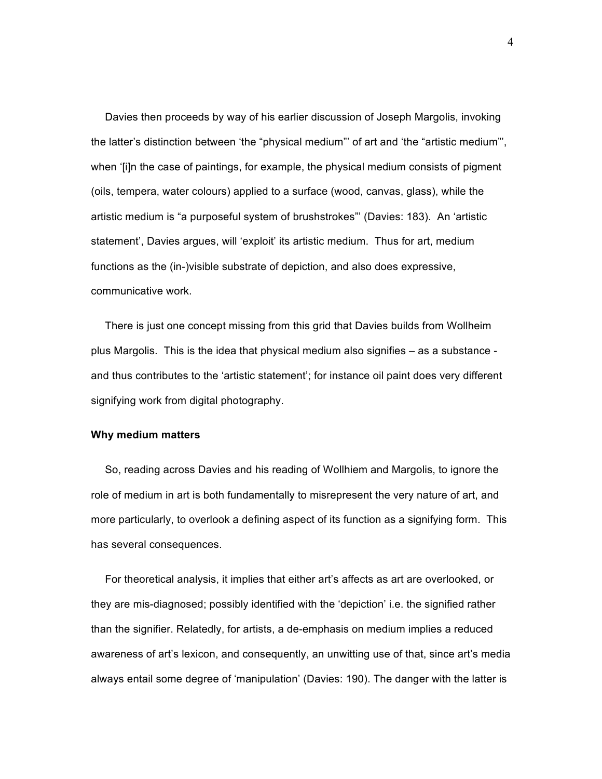Davies then proceeds by way of his earlier discussion of Joseph Margolis, invoking the latter's distinction between 'the "physical medium"' of art and 'the "artistic medium"', when '[i]n the case of paintings, for example, the physical medium consists of pigment (oils, tempera, water colours) applied to a surface (wood, canvas, glass), while the artistic medium is "a purposeful system of brushstrokes"' (Davies: 183). An 'artistic statement', Davies argues, will 'exploit' its artistic medium. Thus for art, medium functions as the (in-)visible substrate of depiction, and also does expressive, communicative work.

There is just one concept missing from this grid that Davies builds from Wollheim plus Margolis. This is the idea that physical medium also signifies – as a substance and thus contributes to the 'artistic statement'; for instance oil paint does very different signifying work from digital photography.

#### **Why medium matters**

So, reading across Davies and his reading of Wollhiem and Margolis, to ignore the role of medium in art is both fundamentally to misrepresent the very nature of art, and more particularly, to overlook a defining aspect of its function as a signifying form. This has several consequences.

For theoretical analysis, it implies that either art's affects as art are overlooked, or they are mis-diagnosed; possibly identified with the 'depiction' i.e. the signified rather than the signifier. Relatedly, for artists, a de-emphasis on medium implies a reduced awareness of art's lexicon, and consequently, an unwitting use of that, since art's media always entail some degree of 'manipulation' (Davies: 190). The danger with the latter is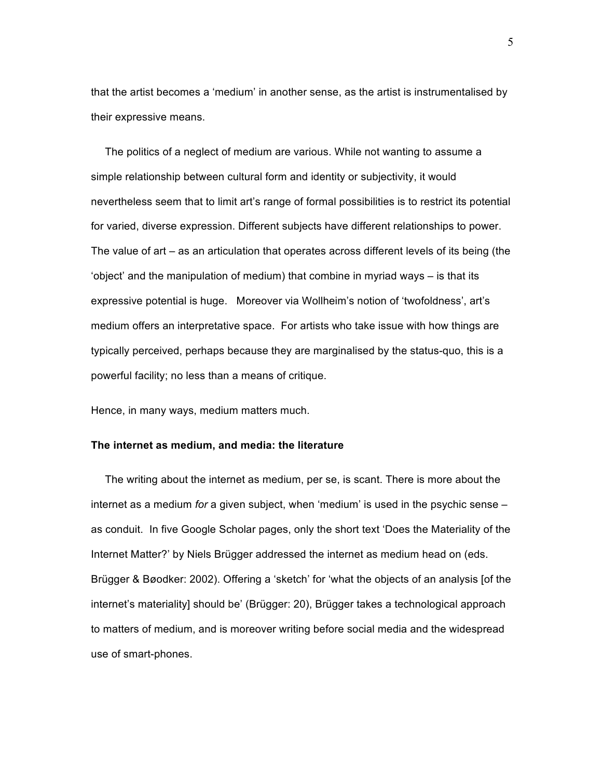that the artist becomes a 'medium' in another sense, as the artist is instrumentalised by their expressive means.

The politics of a neglect of medium are various. While not wanting to assume a simple relationship between cultural form and identity or subjectivity, it would nevertheless seem that to limit art's range of formal possibilities is to restrict its potential for varied, diverse expression. Different subjects have different relationships to power. The value of art – as an articulation that operates across different levels of its being (the 'object' and the manipulation of medium) that combine in myriad ways – is that its expressive potential is huge. Moreover via Wollheim's notion of 'twofoldness', art's medium offers an interpretative space. For artists who take issue with how things are typically perceived, perhaps because they are marginalised by the status-quo, this is a powerful facility; no less than a means of critique.

Hence, in many ways, medium matters much.

## **The internet as medium, and media: the literature**

The writing about the internet as medium, per se, is scant. There is more about the internet as a medium *for* a given subject, when 'medium' is used in the psychic sense – as conduit. In five Google Scholar pages, only the short text 'Does the Materiality of the Internet Matter?' by Niels Brügger addressed the internet as medium head on (eds. Brügger & Bøodker: 2002). Offering a 'sketch' for 'what the objects of an analysis [of the internet's materiality] should be' (Brügger: 20), Brügger takes a technological approach to matters of medium, and is moreover writing before social media and the widespread use of smart-phones.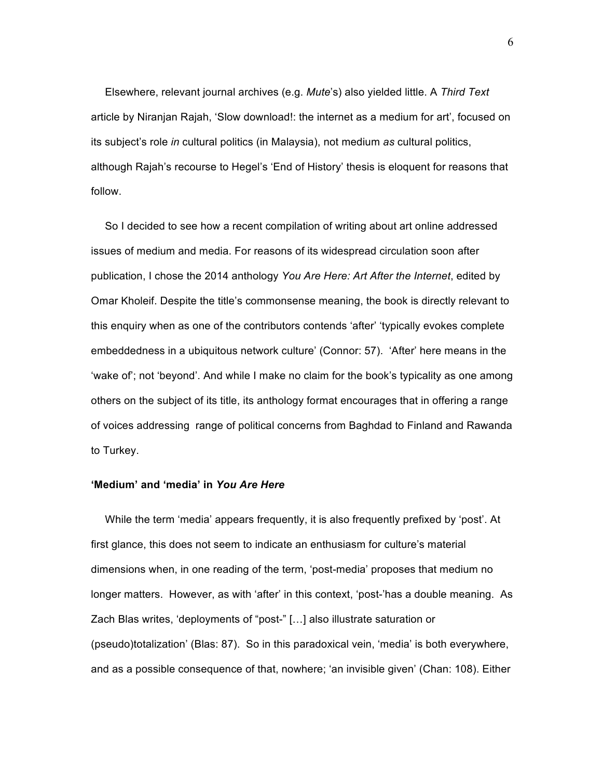Elsewhere, relevant journal archives (e.g. *Mute*'s) also yielded little. A *Third Text* article by Niranjan Rajah, 'Slow download!: the internet as a medium for art', focused on its subject's role *in* cultural politics (in Malaysia), not medium *as* cultural politics, although Rajah's recourse to Hegel's 'End of History' thesis is eloquent for reasons that follow.

So I decided to see how a recent compilation of writing about art online addressed issues of medium and media. For reasons of its widespread circulation soon after publication, I chose the 2014 anthology *You Are Here: Art After the Internet*, edited by Omar Kholeif. Despite the title's commonsense meaning, the book is directly relevant to this enquiry when as one of the contributors contends 'after' 'typically evokes complete embeddedness in a ubiquitous network culture' (Connor: 57). 'After' here means in the 'wake of'; not 'beyond'. And while I make no claim for the book's typicality as one among others on the subject of its title, its anthology format encourages that in offering a range of voices addressing range of political concerns from Baghdad to Finland and Rawanda to Turkey.

## **'Medium' and 'media' in** *You Are Here*

While the term 'media' appears frequently, it is also frequently prefixed by 'post'. At first glance, this does not seem to indicate an enthusiasm for culture's material dimensions when, in one reading of the term, 'post-media' proposes that medium no longer matters. However, as with 'after' in this context, 'post-'has a double meaning. As Zach Blas writes, 'deployments of "post-" […] also illustrate saturation or (pseudo)totalization' (Blas: 87). So in this paradoxical vein, 'media' is both everywhere, and as a possible consequence of that, nowhere; 'an invisible given' (Chan: 108). Either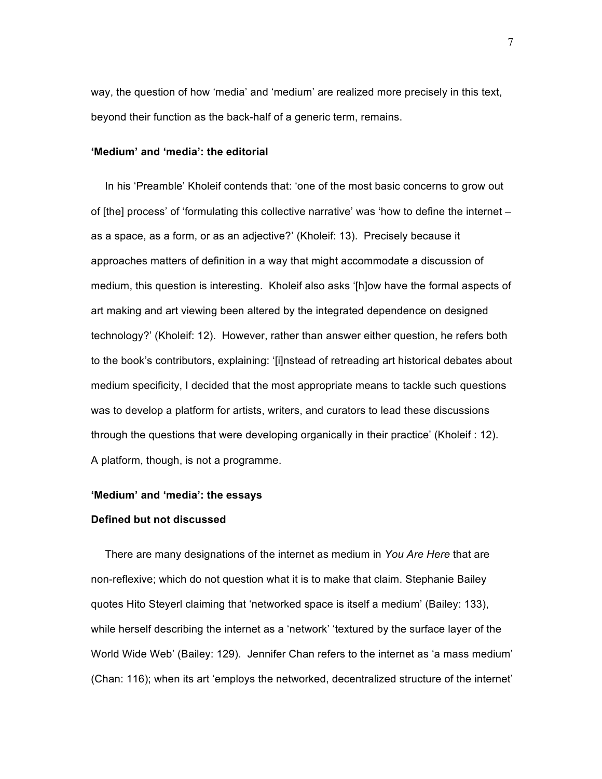way, the question of how 'media' and 'medium' are realized more precisely in this text, beyond their function as the back-half of a generic term, remains.

# **'Medium' and 'media': the editorial**

In his 'Preamble' Kholeif contends that: 'one of the most basic concerns to grow out of [the] process' of 'formulating this collective narrative' was 'how to define the internet – as a space, as a form, or as an adjective?' (Kholeif: 13). Precisely because it approaches matters of definition in a way that might accommodate a discussion of medium, this question is interesting. Kholeif also asks '[h]ow have the formal aspects of art making and art viewing been altered by the integrated dependence on designed technology?' (Kholeif: 12). However, rather than answer either question, he refers both to the book's contributors, explaining: '[i]nstead of retreading art historical debates about medium specificity, I decided that the most appropriate means to tackle such questions was to develop a platform for artists, writers, and curators to lead these discussions through the questions that were developing organically in their practice' (Kholeif : 12). A platform, though, is not a programme.

#### **'Medium' and 'media': the essays**

## **Defined but not discussed**

There are many designations of the internet as medium in *You Are Here* that are non-reflexive; which do not question what it is to make that claim. Stephanie Bailey quotes Hito Steyerl claiming that 'networked space is itself a medium' (Bailey: 133), while herself describing the internet as a 'network' 'textured by the surface layer of the World Wide Web' (Bailey: 129). Jennifer Chan refers to the internet as 'a mass medium' (Chan: 116); when its art 'employs the networked, decentralized structure of the internet'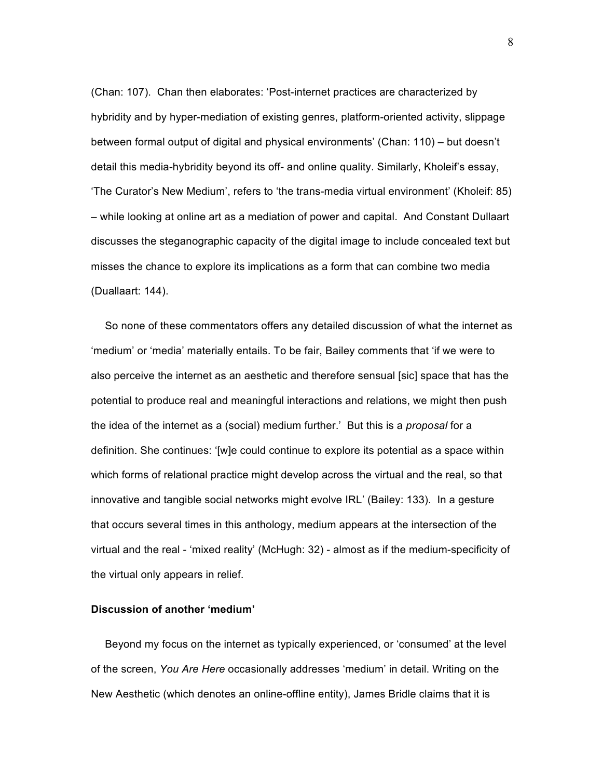(Chan: 107). Chan then elaborates: 'Post-internet practices are characterized by hybridity and by hyper-mediation of existing genres, platform-oriented activity, slippage between formal output of digital and physical environments' (Chan: 110) – but doesn't detail this media-hybridity beyond its off- and online quality. Similarly, Kholeif's essay, 'The Curator's New Medium', refers to 'the trans-media virtual environment' (Kholeif: 85) – while looking at online art as a mediation of power and capital. And Constant Dullaart discusses the steganographic capacity of the digital image to include concealed text but misses the chance to explore its implications as a form that can combine two media (Duallaart: 144).

So none of these commentators offers any detailed discussion of what the internet as 'medium' or 'media' materially entails. To be fair, Bailey comments that 'if we were to also perceive the internet as an aesthetic and therefore sensual [sic] space that has the potential to produce real and meaningful interactions and relations, we might then push the idea of the internet as a (social) medium further.' But this is a *proposal* for a definition. She continues: '[w]e could continue to explore its potential as a space within which forms of relational practice might develop across the virtual and the real, so that innovative and tangible social networks might evolve IRL' (Bailey: 133). In a gesture that occurs several times in this anthology, medium appears at the intersection of the virtual and the real - 'mixed reality' (McHugh: 32) - almost as if the medium-specificity of the virtual only appears in relief.

## **Discussion of another 'medium'**

Beyond my focus on the internet as typically experienced, or 'consumed' at the level of the screen, *You Are Here* occasionally addresses 'medium' in detail. Writing on the New Aesthetic (which denotes an online-offline entity), James Bridle claims that it is

8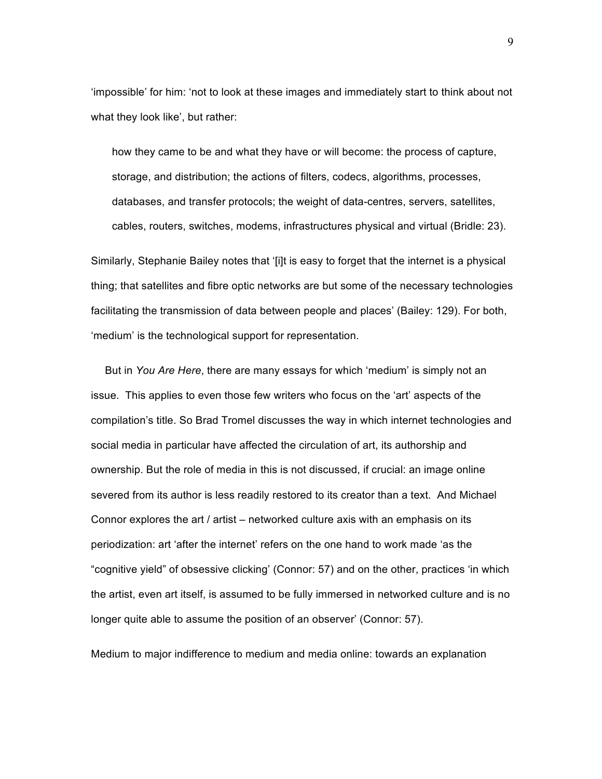'impossible' for him: 'not to look at these images and immediately start to think about not what they look like', but rather:

how they came to be and what they have or will become: the process of capture, storage, and distribution; the actions of filters, codecs, algorithms, processes, databases, and transfer protocols; the weight of data-centres, servers, satellites, cables, routers, switches, modems, infrastructures physical and virtual (Bridle: 23).

Similarly, Stephanie Bailey notes that '[i]t is easy to forget that the internet is a physical thing; that satellites and fibre optic networks are but some of the necessary technologies facilitating the transmission of data between people and places' (Bailey: 129). For both, 'medium' is the technological support for representation.

But in *You Are Here*, there are many essays for which 'medium' is simply not an issue. This applies to even those few writers who focus on the 'art' aspects of the compilation's title. So Brad Tromel discusses the way in which internet technologies and social media in particular have affected the circulation of art, its authorship and ownership. But the role of media in this is not discussed, if crucial: an image online severed from its author is less readily restored to its creator than a text. And Michael Connor explores the art / artist – networked culture axis with an emphasis on its periodization: art 'after the internet' refers on the one hand to work made 'as the "cognitive yield" of obsessive clicking' (Connor: 57) and on the other, practices 'in which the artist, even art itself, is assumed to be fully immersed in networked culture and is no longer quite able to assume the position of an observer' (Connor: 57).

Medium to major indifference to medium and media online: towards an explanation

9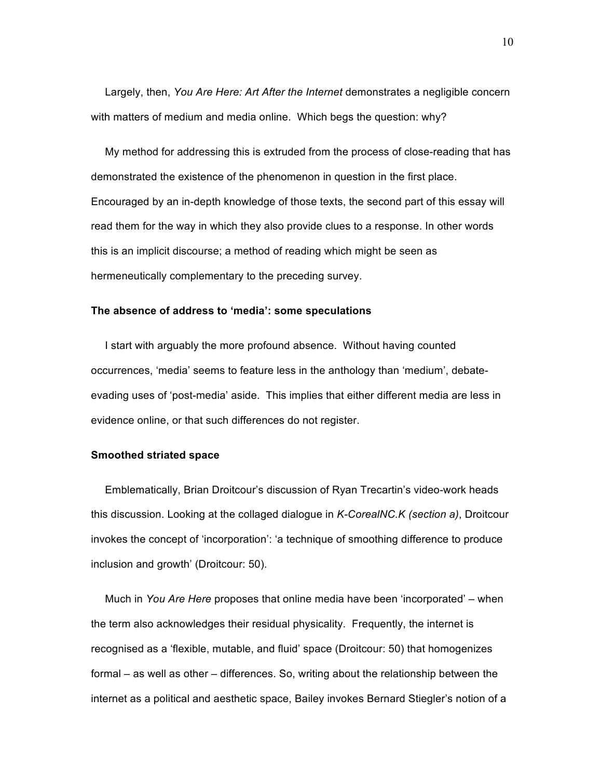Largely, then, *You Are Here: Art After the Internet* demonstrates a negligible concern with matters of medium and media online. Which begs the question: why?

My method for addressing this is extruded from the process of close-reading that has demonstrated the existence of the phenomenon in question in the first place. Encouraged by an in-depth knowledge of those texts, the second part of this essay will read them for the way in which they also provide clues to a response. In other words this is an implicit discourse; a method of reading which might be seen as hermeneutically complementary to the preceding survey.

#### **The absence of address to 'media': some speculations**

I start with arguably the more profound absence. Without having counted occurrences, 'media' seems to feature less in the anthology than 'medium', debateevading uses of 'post-media' aside. This implies that either different media are less in evidence online, or that such differences do not register.

#### **Smoothed striated space**

Emblematically, Brian Droitcour's discussion of Ryan Trecartin's video-work heads this discussion. Looking at the collaged dialogue in *K-CorealNC.K (section a)*, Droitcour invokes the concept of 'incorporation': 'a technique of smoothing difference to produce inclusion and growth' (Droitcour: 50).

Much in *You Are Here* proposes that online media have been 'incorporated' – when the term also acknowledges their residual physicality. Frequently, the internet is recognised as a 'flexible, mutable, and fluid' space (Droitcour: 50) that homogenizes formal – as well as other – differences. So, writing about the relationship between the internet as a political and aesthetic space, Bailey invokes Bernard Stiegler's notion of a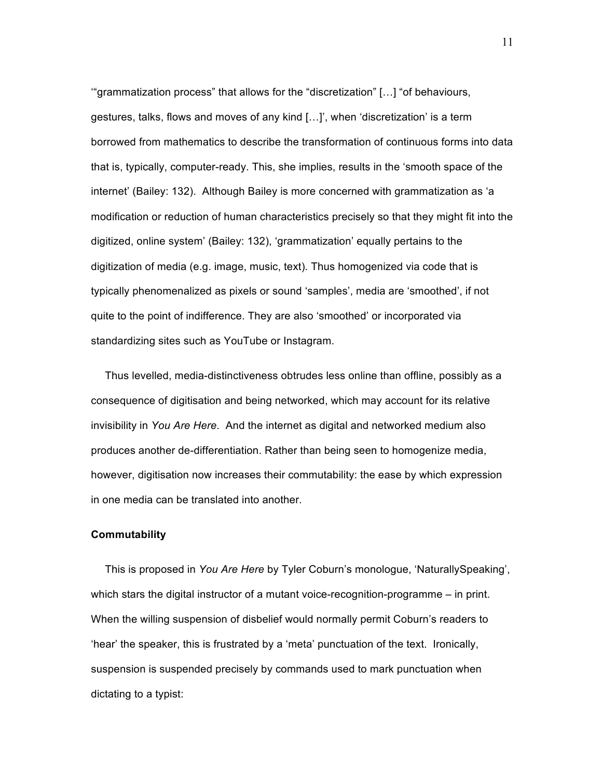'"grammatization process" that allows for the "discretization" […] "of behaviours, gestures, talks, flows and moves of any kind […]', when 'discretization' is a term borrowed from mathematics to describe the transformation of continuous forms into data that is, typically, computer-ready. This, she implies, results in the 'smooth space of the internet' (Bailey: 132). Although Bailey is more concerned with grammatization as 'a modification or reduction of human characteristics precisely so that they might fit into the digitized, online system' (Bailey: 132), 'grammatization' equally pertains to the digitization of media (e.g. image, music, text). Thus homogenized via code that is typically phenomenalized as pixels or sound 'samples', media are 'smoothed', if not quite to the point of indifference. They are also 'smoothed' or incorporated via standardizing sites such as YouTube or Instagram.

Thus levelled, media-distinctiveness obtrudes less online than offline, possibly as a consequence of digitisation and being networked, which may account for its relative invisibility in *You Are Here*. And the internet as digital and networked medium also produces another de-differentiation. Rather than being seen to homogenize media, however, digitisation now increases their commutability: the ease by which expression in one media can be translated into another.

## **Commutability**

This is proposed in *You Are Here* by Tyler Coburn's monologue, 'NaturallySpeaking', which stars the digital instructor of a mutant voice-recognition-programme – in print. When the willing suspension of disbelief would normally permit Coburn's readers to 'hear' the speaker, this is frustrated by a 'meta' punctuation of the text. Ironically, suspension is suspended precisely by commands used to mark punctuation when dictating to a typist: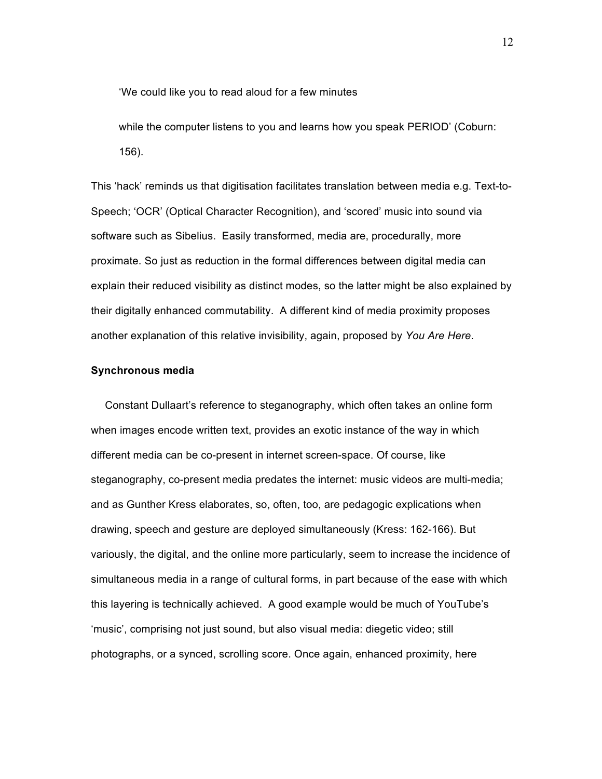'We could like you to read aloud for a few minutes

while the computer listens to you and learns how you speak PERIOD' (Coburn: 156).

This 'hack' reminds us that digitisation facilitates translation between media e.g. Text-to-Speech; 'OCR' (Optical Character Recognition), and 'scored' music into sound via software such as Sibelius. Easily transformed, media are, procedurally, more proximate. So just as reduction in the formal differences between digital media can explain their reduced visibility as distinct modes, so the latter might be also explained by their digitally enhanced commutability. A different kind of media proximity proposes another explanation of this relative invisibility, again, proposed by *You Are Here*.

#### **Synchronous media**

Constant Dullaart's reference to steganography, which often takes an online form when images encode written text, provides an exotic instance of the way in which different media can be co-present in internet screen-space. Of course, like steganography, co-present media predates the internet: music videos are multi-media; and as Gunther Kress elaborates, so, often, too, are pedagogic explications when drawing, speech and gesture are deployed simultaneously (Kress: 162-166). But variously, the digital, and the online more particularly, seem to increase the incidence of simultaneous media in a range of cultural forms, in part because of the ease with which this layering is technically achieved. A good example would be much of YouTube's 'music', comprising not just sound, but also visual media: diegetic video; still photographs, or a synced, scrolling score. Once again, enhanced proximity, here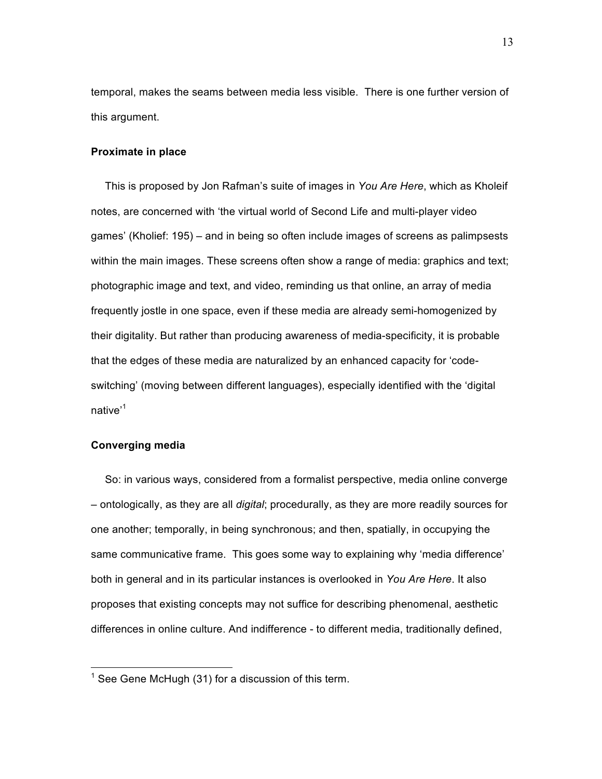temporal, makes the seams between media less visible. There is one further version of this argument.

## **Proximate in place**

This is proposed by Jon Rafman's suite of images in *You Are Here*, which as Kholeif notes, are concerned with 'the virtual world of Second Life and multi-player video games' (Kholief: 195) – and in being so often include images of screens as palimpsests within the main images. These screens often show a range of media: graphics and text; photographic image and text, and video, reminding us that online, an array of media frequently jostle in one space, even if these media are already semi-homogenized by their digitality. But rather than producing awareness of media-specificity, it is probable that the edges of these media are naturalized by an enhanced capacity for 'codeswitching' (moving between different languages), especially identified with the 'digital native<sup>1</sup>

## **Converging media**

So: in various ways, considered from a formalist perspective, media online converge – ontologically, as they are all *digital*; procedurally, as they are more readily sources for one another; temporally, in being synchronous; and then, spatially, in occupying the same communicative frame. This goes some way to explaining why 'media difference' both in general and in its particular instances is overlooked in *You Are Here*. It also proposes that existing concepts may not suffice for describing phenomenal, aesthetic differences in online culture. And indifference - to different media, traditionally defined,

 $1$  See Gene McHugh (31) for a discussion of this term.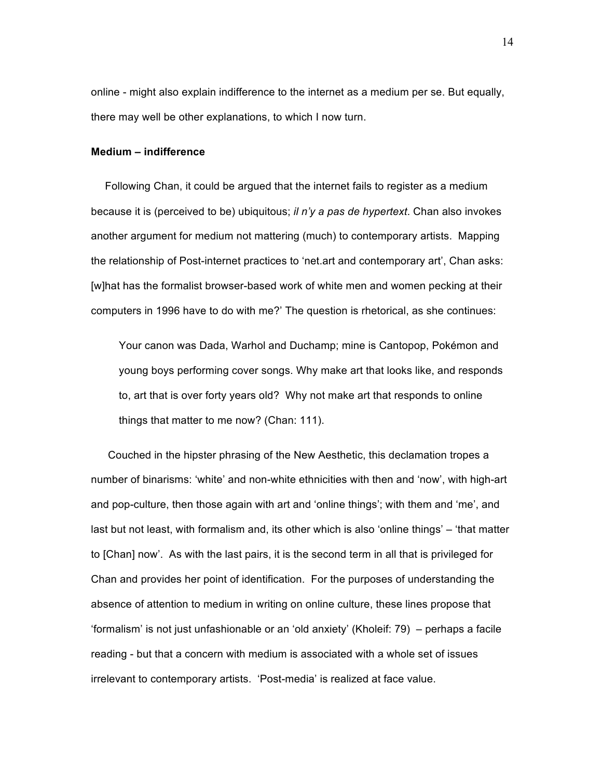online - might also explain indifference to the internet as a medium per se. But equally, there may well be other explanations, to which I now turn.

# **Medium – indifference**

Following Chan, it could be argued that the internet fails to register as a medium because it is (perceived to be) ubiquitous; *il n'y a pas de hypertext*. Chan also invokes another argument for medium not mattering (much) to contemporary artists. Mapping the relationship of Post-internet practices to 'net.art and contemporary art', Chan asks: [w]hat has the formalist browser-based work of white men and women pecking at their computers in 1996 have to do with me?' The question is rhetorical, as she continues:

Your canon was Dada, Warhol and Duchamp; mine is Cantopop, Pokémon and young boys performing cover songs. Why make art that looks like, and responds to, art that is over forty years old? Why not make art that responds to online things that matter to me now? (Chan: 111).

Couched in the hipster phrasing of the New Aesthetic, this declamation tropes a number of binarisms: 'white' and non-white ethnicities with then and 'now', with high-art and pop-culture, then those again with art and 'online things'; with them and 'me', and last but not least, with formalism and, its other which is also 'online things' – 'that matter to [Chan] now'. As with the last pairs, it is the second term in all that is privileged for Chan and provides her point of identification. For the purposes of understanding the absence of attention to medium in writing on online culture, these lines propose that 'formalism' is not just unfashionable or an 'old anxiety' (Kholeif: 79) – perhaps a facile reading - but that a concern with medium is associated with a whole set of issues irrelevant to contemporary artists. 'Post-media' is realized at face value.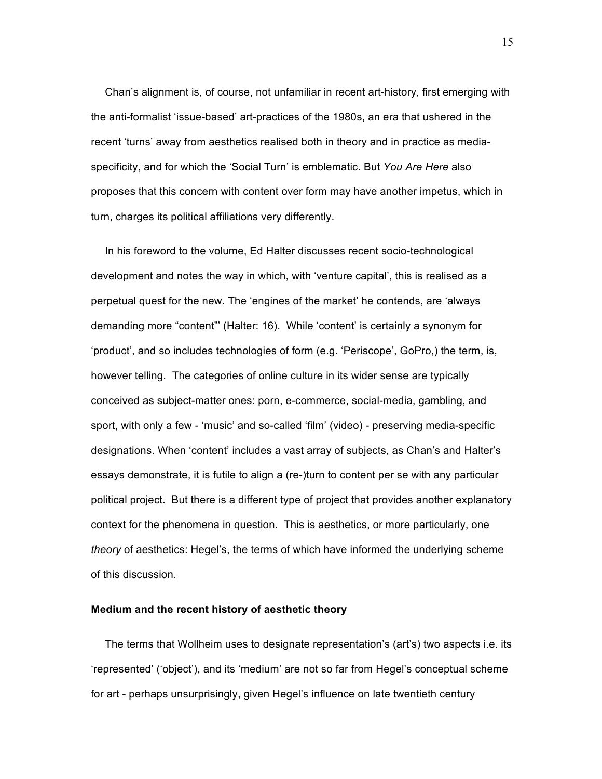Chan's alignment is, of course, not unfamiliar in recent art-history, first emerging with the anti-formalist 'issue-based' art-practices of the 1980s, an era that ushered in the recent 'turns' away from aesthetics realised both in theory and in practice as mediaspecificity, and for which the 'Social Turn' is emblematic. But *You Are Here* also proposes that this concern with content over form may have another impetus, which in turn, charges its political affiliations very differently.

In his foreword to the volume, Ed Halter discusses recent socio-technological development and notes the way in which, with 'venture capital', this is realised as a perpetual quest for the new. The 'engines of the market' he contends, are 'always demanding more "content"' (Halter: 16). While 'content' is certainly a synonym for 'product', and so includes technologies of form (e.g. 'Periscope', GoPro,) the term, is, however telling. The categories of online culture in its wider sense are typically conceived as subject-matter ones: porn, e-commerce, social-media, gambling, and sport, with only a few - 'music' and so-called 'film' (video) - preserving media-specific designations. When 'content' includes a vast array of subjects, as Chan's and Halter's essays demonstrate, it is futile to align a (re-)turn to content per se with any particular political project. But there is a different type of project that provides another explanatory context for the phenomena in question. This is aesthetics, or more particularly, one *theory* of aesthetics: Hegel's, the terms of which have informed the underlying scheme of this discussion.

#### **Medium and the recent history of aesthetic theory**

The terms that Wollheim uses to designate representation's (art's) two aspects i.e. its 'represented' ('object'), and its 'medium' are not so far from Hegel's conceptual scheme for art - perhaps unsurprisingly, given Hegel's influence on late twentieth century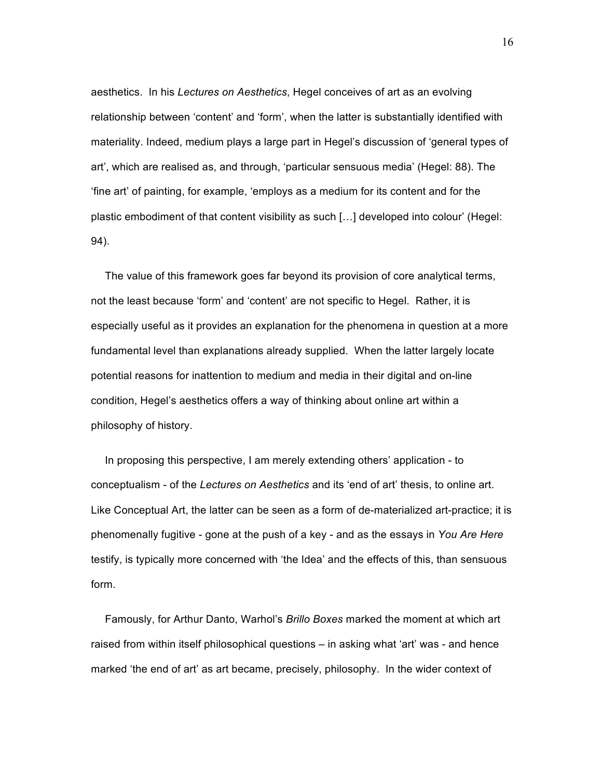aesthetics. In his *Lectures on Aesthetics*, Hegel conceives of art as an evolving relationship between 'content' and 'form', when the latter is substantially identified with materiality. Indeed, medium plays a large part in Hegel's discussion of 'general types of art', which are realised as, and through, 'particular sensuous media' (Hegel: 88). The 'fine art' of painting, for example, 'employs as a medium for its content and for the plastic embodiment of that content visibility as such […] developed into colour' (Hegel: 94).

The value of this framework goes far beyond its provision of core analytical terms, not the least because 'form' and 'content' are not specific to Hegel. Rather, it is especially useful as it provides an explanation for the phenomena in question at a more fundamental level than explanations already supplied. When the latter largely locate potential reasons for inattention to medium and media in their digital and on-line condition, Hegel's aesthetics offers a way of thinking about online art within a philosophy of history.

In proposing this perspective, I am merely extending others' application - to conceptualism - of the *Lectures on Aesthetics* and its 'end of art' thesis, to online art. Like Conceptual Art, the latter can be seen as a form of de-materialized art-practice; it is phenomenally fugitive - gone at the push of a key - and as the essays in *You Are Here* testify, is typically more concerned with 'the Idea' and the effects of this, than sensuous form.

Famously, for Arthur Danto, Warhol's *Brillo Boxes* marked the moment at which art raised from within itself philosophical questions – in asking what 'art' was - and hence marked 'the end of art' as art became, precisely, philosophy. In the wider context of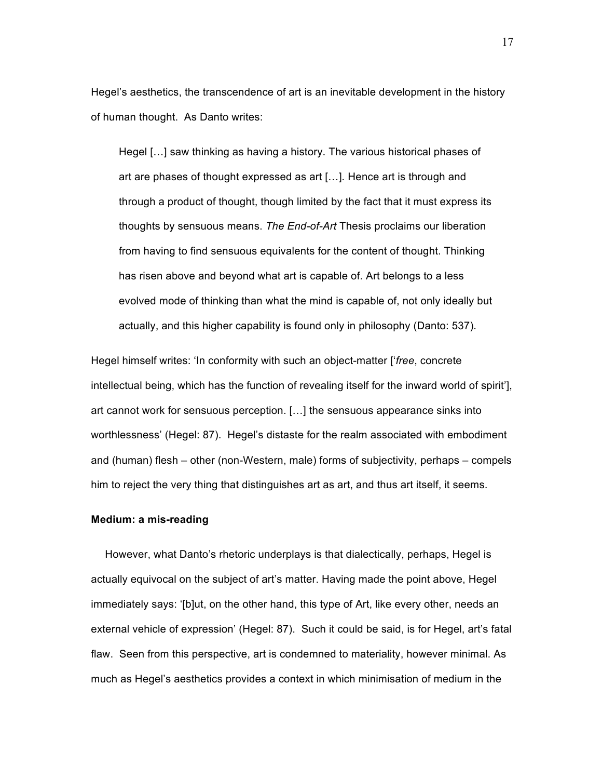Hegel's aesthetics, the transcendence of art is an inevitable development in the history of human thought. As Danto writes:

Hegel […] saw thinking as having a history. The various historical phases of art are phases of thought expressed as art […]*.* Hence art is through and through a product of thought, though limited by the fact that it must express its thoughts by sensuous means. *The End-of-Art* Thesis proclaims our liberation from having to find sensuous equivalents for the content of thought. Thinking has risen above and beyond what art is capable of. Art belongs to a less evolved mode of thinking than what the mind is capable of, not only ideally but actually, and this higher capability is found only in philosophy (Danto: 537).

Hegel himself writes: 'In conformity with such an object-matter ['*free*, concrete intellectual being, which has the function of revealing itself for the inward world of spirit'], art cannot work for sensuous perception. […] the sensuous appearance sinks into worthlessness' (Hegel: 87). Hegel's distaste for the realm associated with embodiment and (human) flesh – other (non-Western, male) forms of subjectivity, perhaps – compels him to reject the very thing that distinguishes art as art, and thus art itself, it seems.

#### **Medium: a mis-reading**

However, what Danto's rhetoric underplays is that dialectically, perhaps, Hegel is actually equivocal on the subject of art's matter. Having made the point above, Hegel immediately says: '[b]ut, on the other hand, this type of Art, like every other, needs an external vehicle of expression' (Hegel: 87). Such it could be said, is for Hegel, art's fatal flaw. Seen from this perspective, art is condemned to materiality, however minimal. As much as Hegel's aesthetics provides a context in which minimisation of medium in the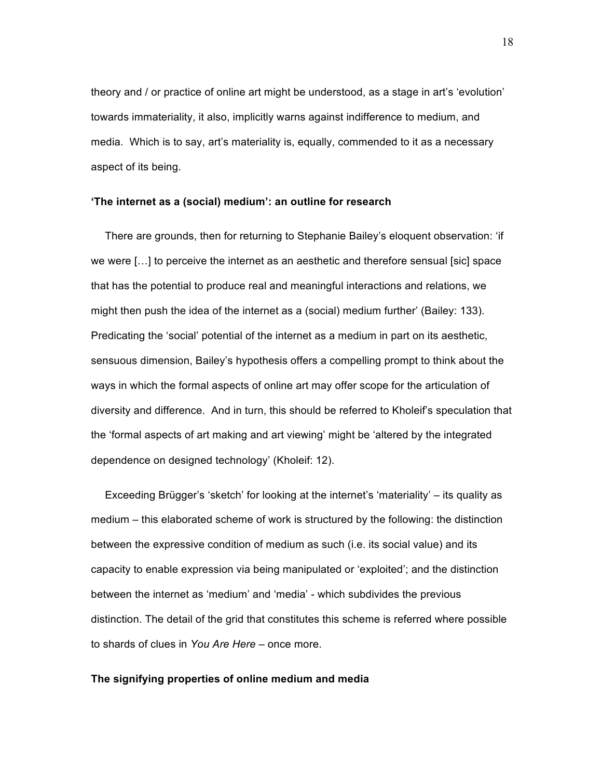theory and / or practice of online art might be understood, as a stage in art's 'evolution' towards immateriality, it also, implicitly warns against indifference to medium, and media. Which is to say, art's materiality is, equally, commended to it as a necessary aspect of its being.

## **'The internet as a (social) medium': an outline for research**

There are grounds, then for returning to Stephanie Bailey's eloquent observation: 'if we were […] to perceive the internet as an aesthetic and therefore sensual [sic] space that has the potential to produce real and meaningful interactions and relations, we might then push the idea of the internet as a (social) medium further' (Bailey: 133). Predicating the 'social' potential of the internet as a medium in part on its aesthetic, sensuous dimension, Bailey's hypothesis offers a compelling prompt to think about the ways in which the formal aspects of online art may offer scope for the articulation of diversity and difference. And in turn, this should be referred to Kholeif's speculation that the 'formal aspects of art making and art viewing' might be 'altered by the integrated dependence on designed technology' (Kholeif: 12).

Exceeding Brügger's 'sketch' for looking at the internet's 'materiality' – its quality as medium – this elaborated scheme of work is structured by the following: the distinction between the expressive condition of medium as such (i.e. its social value) and its capacity to enable expression via being manipulated or 'exploited'; and the distinction between the internet as 'medium' and 'media' - which subdivides the previous distinction. The detail of the grid that constitutes this scheme is referred where possible to shards of clues in *You Are Here* – once more.

#### **The signifying properties of online medium and media**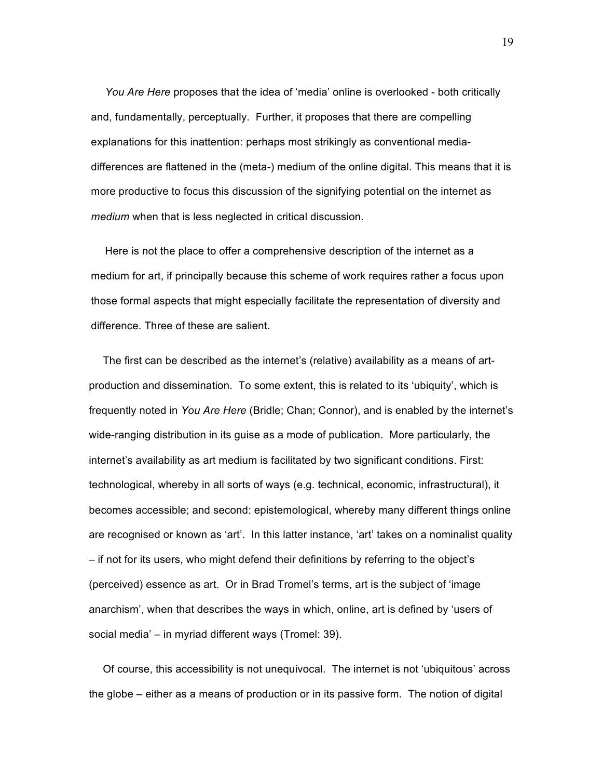*You Are Here* proposes that the idea of 'media' online is overlooked - both critically and, fundamentally, perceptually. Further, it proposes that there are compelling explanations for this inattention: perhaps most strikingly as conventional mediadifferences are flattened in the (meta-) medium of the online digital. This means that it is more productive to focus this discussion of the signifying potential on the internet as *medium* when that is less neglected in critical discussion.

Here is not the place to offer a comprehensive description of the internet as a medium for art, if principally because this scheme of work requires rather a focus upon those formal aspects that might especially facilitate the representation of diversity and difference. Three of these are salient.

The first can be described as the internet's (relative) availability as a means of artproduction and dissemination. To some extent, this is related to its 'ubiquity', which is frequently noted in *You Are Here* (Bridle; Chan; Connor), and is enabled by the internet's wide-ranging distribution in its guise as a mode of publication. More particularly, the internet's availability as art medium is facilitated by two significant conditions. First: technological, whereby in all sorts of ways (e.g. technical, economic, infrastructural), it becomes accessible; and second: epistemological, whereby many different things online are recognised or known as 'art'. In this latter instance, 'art' takes on a nominalist quality – if not for its users, who might defend their definitions by referring to the object's (perceived) essence as art. Or in Brad Tromel's terms, art is the subject of 'image anarchism', when that describes the ways in which, online, art is defined by 'users of social media' – in myriad different ways (Tromel: 39).

Of course, this accessibility is not unequivocal. The internet is not 'ubiquitous' across the globe – either as a means of production or in its passive form. The notion of digital

19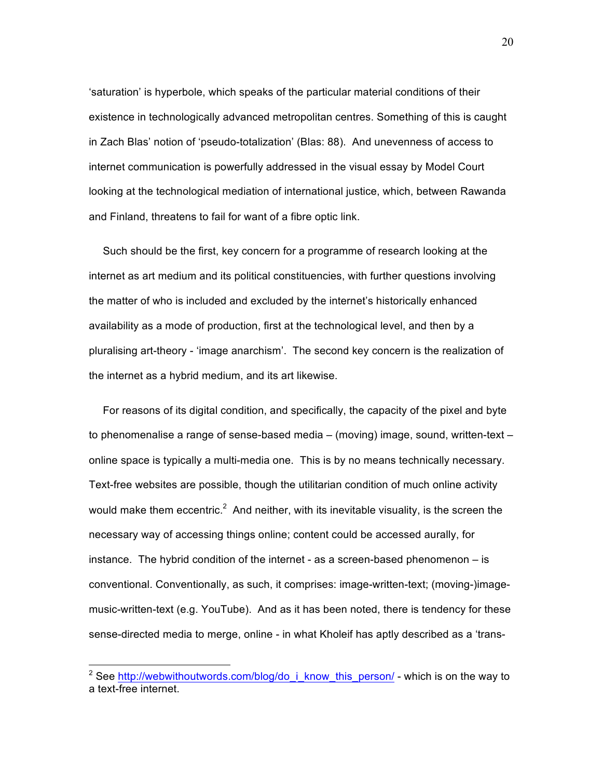'saturation' is hyperbole, which speaks of the particular material conditions of their existence in technologically advanced metropolitan centres. Something of this is caught in Zach Blas' notion of 'pseudo-totalization' (Blas: 88). And unevenness of access to internet communication is powerfully addressed in the visual essay by Model Court looking at the technological mediation of international justice, which, between Rawanda and Finland, threatens to fail for want of a fibre optic link.

Such should be the first, key concern for a programme of research looking at the internet as art medium and its political constituencies, with further questions involving the matter of who is included and excluded by the internet's historically enhanced availability as a mode of production, first at the technological level, and then by a pluralising art-theory - 'image anarchism'. The second key concern is the realization of the internet as a hybrid medium, and its art likewise.

For reasons of its digital condition, and specifically, the capacity of the pixel and byte to phenomenalise a range of sense-based media – (moving) image, sound, written-text – online space is typically a multi-media one. This is by no means technically necessary. Text-free websites are possible, though the utilitarian condition of much online activity would make them eccentric.<sup>2</sup> And neither, with its inevitable visuality, is the screen the necessary way of accessing things online; content could be accessed aurally, for instance. The hybrid condition of the internet - as a screen-based phenomenon – is conventional. Conventionally, as such, it comprises: image-written-text; (moving-)imagemusic-written-text (e.g. YouTube). And as it has been noted, there is tendency for these sense-directed media to merge, online - in what Kholeif has aptly described as a 'trans-

<sup>&</sup>lt;sup>2</sup> See http://webwithoutwords.com/blog/do\_i\_know\_this\_person/ - which is on the way to a text-free internet.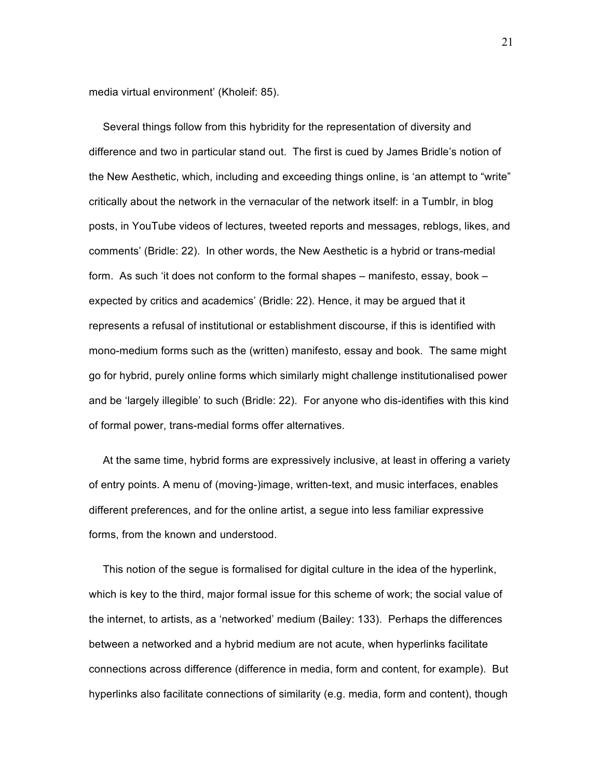media virtual environment' (Kholeif: 85).

Several things follow from this hybridity for the representation of diversity and difference and two in particular stand out. The first is cued by James Bridle's notion of the New Aesthetic, which, including and exceeding things online, is 'an attempt to "write" critically about the network in the vernacular of the network itself: in a Tumblr, in blog posts, in YouTube videos of lectures, tweeted reports and messages, reblogs, likes, and comments' (Bridle: 22). In other words, the New Aesthetic is a hybrid or trans-medial form. As such 'it does not conform to the formal shapes – manifesto, essay, book – expected by critics and academics' (Bridle: 22). Hence, it may be argued that it represents a refusal of institutional or establishment discourse, if this is identified with mono-medium forms such as the (written) manifesto, essay and book. The same might go for hybrid, purely online forms which similarly might challenge institutionalised power and be 'largely illegible' to such (Bridle: 22). For anyone who dis-identifies with this kind of formal power, trans-medial forms offer alternatives.

At the same time, hybrid forms are expressively inclusive, at least in offering a variety of entry points. A menu of (moving-)image, written-text, and music interfaces, enables different preferences, and for the online artist, a segue into less familiar expressive forms, from the known and understood.

This notion of the segue is formalised for digital culture in the idea of the hyperlink, which is key to the third, major formal issue for this scheme of work; the social value of the internet, to artists, as a 'networked' medium (Bailey: 133). Perhaps the differences between a networked and a hybrid medium are not acute, when hyperlinks facilitate connections across difference (difference in media, form and content, for example). But hyperlinks also facilitate connections of similarity (e.g. media, form and content), though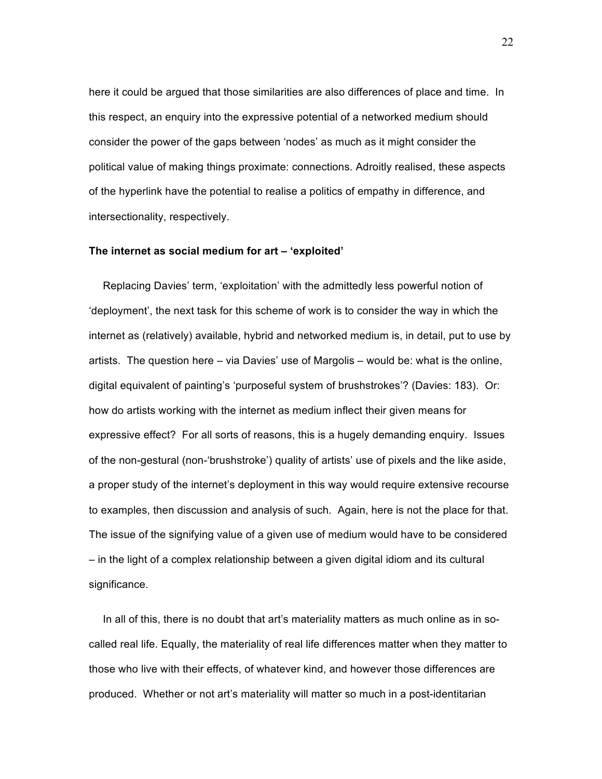here it could be argued that those similarities are also differences of place and time. In this respect, an enquiry into the expressive potential of a networked medium should consider the power of the gaps between 'nodes' as much as it might consider the political value of making things proximate: connections. Adroitly realised, these aspects of the hyperlink have the potential to realise a politics of empathy in difference, and intersectionality, respectively.

#### **The internet as social medium for art – 'exploited'**

Replacing Davies' term, 'exploitation' with the admittedly less powerful notion of 'deployment', the next task for this scheme of work is to consider the way in which the internet as (relatively) available, hybrid and networked medium is, in detail, put to use by artists. The question here – via Davies' use of Margolis – would be: what is the online, digital equivalent of painting's 'purposeful system of brushstrokes'? (Davies: 183). Or: how do artists working with the internet as medium inflect their given means for expressive effect? For all sorts of reasons, this is a hugely demanding enquiry. Issues of the non-gestural (non-'brushstroke') quality of artists' use of pixels and the like aside, a proper study of the internet's deployment in this way would require extensive recourse to examples, then discussion and analysis of such. Again, here is not the place for that. The issue of the signifying value of a given use of medium would have to be considered – in the light of a complex relationship between a given digital idiom and its cultural significance.

In all of this, there is no doubt that art's materiality matters as much online as in socalled real life. Equally, the materiality of real life differences matter when they matter to those who live with their effects, of whatever kind, and however those differences are produced. Whether or not art's materiality will matter so much in a post-identitarian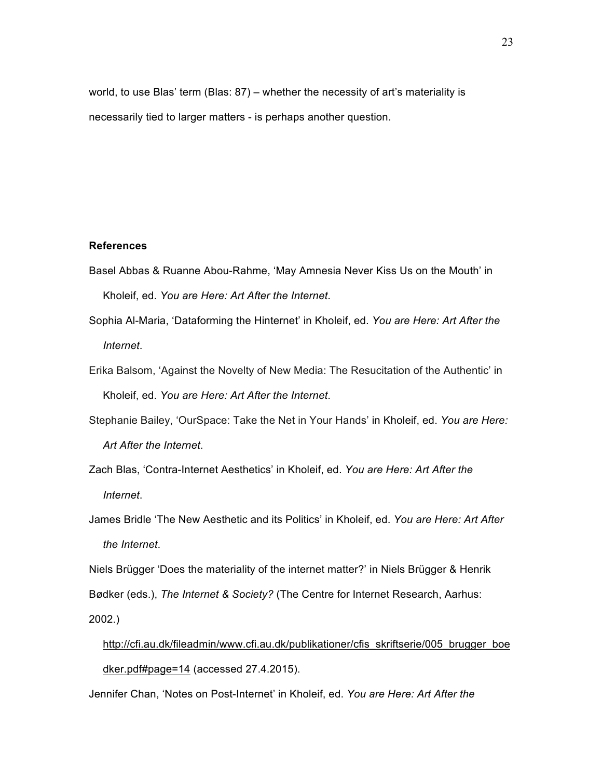world, to use Blas' term (Blas: 87) – whether the necessity of art's materiality is necessarily tied to larger matters - is perhaps another question.

#### **References**

- Basel Abbas & Ruanne Abou-Rahme, 'May Amnesia Never Kiss Us on the Mouth' in Kholeif, ed. *You are Here: Art After the Internet*.
- Sophia Al-Maria, 'Dataforming the Hinternet' in Kholeif, ed. *You are Here: Art After the Internet*.
- Erika Balsom, 'Against the Novelty of New Media: The Resucitation of the Authentic' in Kholeif, ed. *You are Here: Art After the Internet*.
- Stephanie Bailey, 'OurSpace: Take the Net in Your Hands' in Kholeif, ed. *You are Here: Art After the Internet*.
- Zach Blas, 'Contra-Internet Aesthetics' in Kholeif, ed. *You are Here: Art After the Internet*.
- James Bridle 'The New Aesthetic and its Politics' in Kholeif, ed. *You are Here: Art After the Internet*.

Niels Brügger 'Does the materiality of the internet matter?' in Niels Brügger & Henrik

Bødker (eds.), *The Internet & Society?* (The Centre for Internet Research, Aarhus:

2002.)

```
http://cfi.au.dk/fileadmin/www.cfi.au.dk/publikationer/cfis_skriftserie/005_brugger_boe
dker.pdf#page=14 (accessed 27.4.2015).
```
Jennifer Chan, 'Notes on Post-Internet' in Kholeif, ed. *You are Here: Art After the*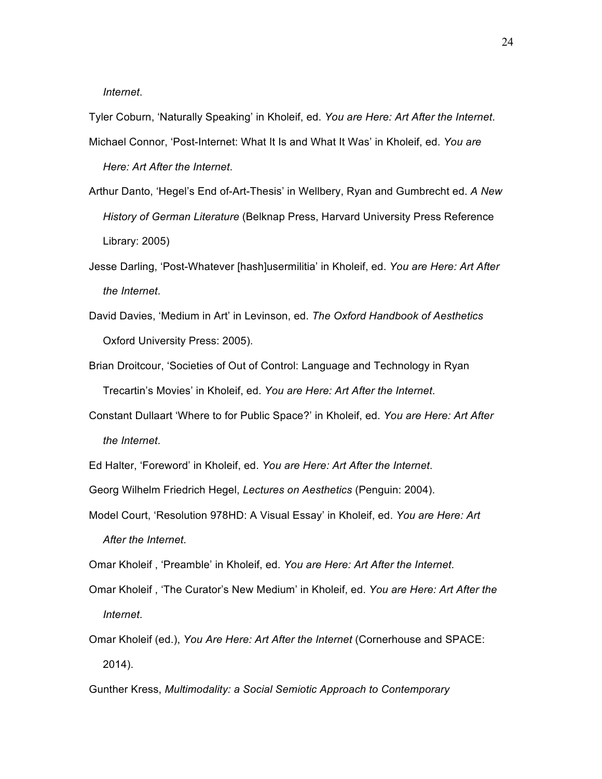*Internet*.

Tyler Coburn, 'Naturally Speaking' in Kholeif, ed. *You are Here: Art After the Internet*. Michael Connor, 'Post-Internet: What It Is and What It Was' in Kholeif, ed. *You are*

*Here: Art After the Internet*.

- Arthur Danto, 'Hegel's End of-Art-Thesis' in Wellbery, Ryan and Gumbrecht ed. *A New History of German Literature* (Belknap Press, Harvard University Press Reference Library: 2005)
- Jesse Darling, 'Post-Whatever [hash]usermilitia' in Kholeif, ed. *You are Here: Art After the Internet*.
- David Davies, 'Medium in Art' in Levinson, ed. *The Oxford Handbook of Aesthetics* Oxford University Press: 2005).
- Brian Droitcour, 'Societies of Out of Control: Language and Technology in Ryan Trecartin's Movies' in Kholeif, ed. *You are Here: Art After the Internet*.
- Constant Dullaart 'Where to for Public Space?' in Kholeif, ed. *You are Here: Art After the Internet*.
- Ed Halter, 'Foreword' in Kholeif, ed. *You are Here: Art After the Internet*.
- Georg Wilhelm Friedrich Hegel, *Lectures on Aesthetics* (Penguin: 2004).
- Model Court, 'Resolution 978HD: A Visual Essay' in Kholeif, ed. *You are Here: Art After the Internet*.

Omar Kholeif , 'Preamble' in Kholeif, ed. *You are Here: Art After the Internet*.

- Omar Kholeif , 'The Curator's New Medium' in Kholeif, ed. *You are Here: Art After the Internet*.
- Omar Kholeif (ed.), *You Are Here: Art After the Internet* (Cornerhouse and SPACE: 2014).
- Gunther Kress, *Multimodality: a Social Semiotic Approach to Contemporary*